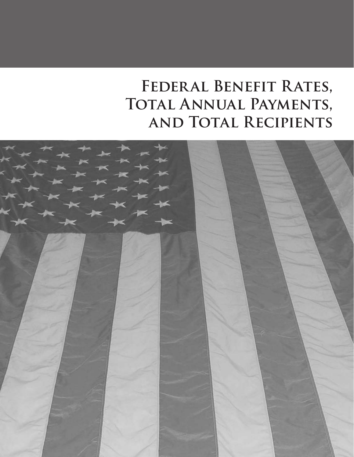# **Federal Benefit Rates, Total Annual Payments, and Total Recipients**

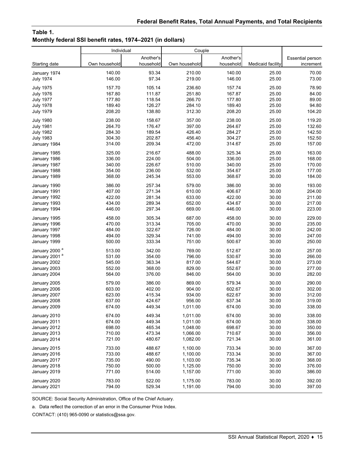#### **Table 1. Monthly federal SSI benefit rates, 1974–2021 (in dollars)**

|                           | Individual    |           | Couple        |           |                   |                  |
|---------------------------|---------------|-----------|---------------|-----------|-------------------|------------------|
|                           |               | Another's |               | Another's |                   | Essential person |
| Starting date             | Own household | household | Own household | household | Medicaid facility | increment        |
| January 1974              | 140.00        | 93.34     | 210.00        | 140.00    | 25.00             | 70.00            |
| <b>July 1974</b>          | 146.00        | 97.34     | 219.00        | 146.00    | 25.00             | 73.00            |
| <b>July 1975</b>          | 157.70        | 105.14    | 236.60        | 157.74    | 25.00             | 78.90            |
| <b>July 1976</b>          | 167.80        | 111.87    | 251.80        | 167.87    | 25.00             | 84.00            |
| <b>July 1977</b>          | 177.80        | 118.54    | 266.70        | 177.80    | 25.00             | 89.00            |
| <b>July 1978</b>          | 189.40        | 126.27    | 284.10        | 189.40    | 25.00             | 94.80            |
| <b>July 1979</b>          | 208.20        | 138.80    | 312.30        | 208.20    | 25.00             | 104.20           |
| <b>July 1980</b>          | 238.00        | 158.67    | 357.00        | 238.00    | 25.00             | 119.20           |
| <b>July 1981</b>          | 264.70        | 176.47    | 397.00        | 264.67    | 25.00             | 132.60           |
| <b>July 1982</b>          | 284.30        | 189.54    | 426.40        | 284.27    | 25.00             | 142.50           |
| <b>July 1983</b>          | 304.30        | 202.87    | 456.40        | 304.27    | 25.00             | 152.50           |
| January 1984              | 314.00        | 209.34    | 472.00        | 314.67    | 25.00             | 157.00           |
| January 1985              | 325.00        | 216.67    | 488.00        | 325.34    | 25.00             | 163.00           |
| January 1986              | 336.00        | 224.00    | 504.00        | 336.00    | 25.00             | 168.00           |
| January 1987              | 340.00        | 226.67    | 510.00        | 340.00    | 25.00             | 170.00           |
| January 1988              | 354.00        | 236.00    | 532.00        | 354.67    | 25.00             | 177.00           |
| January 1989              | 368.00        | 245.34    | 553.00        | 368.67    | 30.00             | 184.00           |
| January 1990              | 386.00        | 257.34    | 579.00        | 386.00    | 30.00             | 193.00           |
| January 1991              | 407.00        | 271.34    | 610.00        | 406.67    | 30.00             | 204.00           |
| January 1992              | 422.00        | 281.34    | 633.00        | 422.00    | 30.00             | 211.00           |
| January 1993              | 434.00        | 289.34    | 652.00        | 434.67    | 30.00             | 217.00           |
| January 1994              | 446.00        | 297.34    | 669.00        | 446.00    | 30.00             | 223.00           |
| January 1995              | 458.00        | 305.34    | 687.00        | 458.00    | 30.00             | 229.00           |
| January 1996              | 470.00        | 313.34    | 705.00        | 470.00    | 30.00             | 235.00           |
| January 1997              | 484.00        | 322.67    | 726.00        | 484.00    | 30.00             | 242.00           |
| January 1998              | 494.00        | 329.34    | 741.00        | 494.00    | 30.00             | 247.00           |
| January 1999              | 500.00        | 333.34    | 751.00        | 500.67    | 30.00             | 250.00           |
| January 2000 <sup>a</sup> | 513.00        | 342.00    | 769.00        | 512.67    | 30.00             | 257.00           |
| January 2001 <sup>a</sup> | 531.00        | 354.00    | 796.00        | 530.67    | 30.00             | 266.00           |
| January 2002              | 545.00        | 363.34    | 817.00        | 544.67    | 30.00             | 273.00           |
| January 2003              | 552.00        | 368.00    | 829.00        | 552.67    | 30.00             | 277.00           |
| January 2004              | 564.00        | 376.00    | 846.00        | 564.00    | 30.00             | 282.00           |
| January 2005              | 579.00        | 386.00    | 869.00        | 579.34    | 30.00             | 290.00           |
| January 2006              | 603.00        | 402.00    | 904.00        | 602.67    | 30.00             | 302.00           |
| January 2007              | 623.00        | 415.34    | 934.00        | 622.67    | 30.00             | 312.00           |
| January 2008              | 637.00        | 424.67    | 956.00        | 637.34    | 30.00             | 319.00           |
| January 2009              | 674.00        | 449.34    | 1,011.00      | 674.00    | 30.00             | 338.00           |
| January 2010              | 674.00        | 449.34    | 1,011.00      | 674.00    | 30.00             | 338.00           |
| January 2011              | 674.00        | 449.34    | 1,011.00      | 674.00    | 30.00             | 338.00           |
| January 2012              | 698.00        | 465.34    | 1,048.00      | 698.67    | 30.00             | 350.00           |
| January 2013              | 710.00        | 473.34    | 1,066.00      | 710.67    | 30.00             | 356.00           |
| January 2014              | 721.00        | 480.67    | 1,082.00      | 721.34    | 30.00             | 361.00           |
| January 2015              | 733.00        | 488.67    | 1,100.00      | 733.34    | 30.00             | 367.00           |
| January 2016              | 733.00        | 488.67    | 1,100.00      | 733.34    | 30.00             | 367.00           |
| January 2017              | 735.00        | 490.00    | 1,103.00      | 735.34    | 30.00             | 368.00           |
| January 2018              | 750.00        | 500.00    | 1,125.00      | 750.00    | 30.00             | 376.00           |
| January 2019              | 771.00        | 514.00    | 1,157.00      | 771.00    | 30.00             | 386.00           |
| January 2020              | 783.00        | 522.00    | 1,175.00      | 783.00    | 30.00             | 392.00           |
| January 2021              | 794.00        | 529.34    | 1,191.00      | 794.00    | 30.00             | 397.00           |

SOURCE: Social Security Administration, Office of the Chief Actuary.

a. Data reflect the correction of an error in the Consumer Price Index.

CONTACT: (410) 965-0090 or statistics@ssa.gov.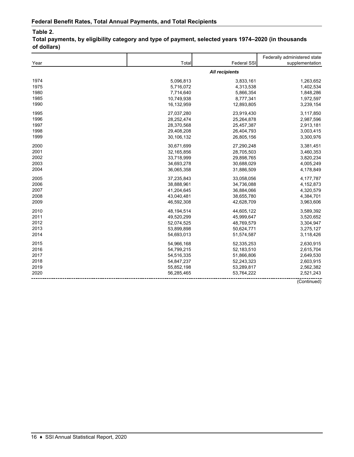|      |                       |                    | Federally administered state |  |
|------|-----------------------|--------------------|------------------------------|--|
| Year | Total                 | <b>Federal SSI</b> | supplementation              |  |
|      | <b>All recipients</b> |                    |                              |  |
| 1974 | 5,096,813             | 3,833,161          | 1,263,652                    |  |
| 1975 | 5,716,072             | 4,313,538          | 1,402,534                    |  |
| 1980 | 7,714,640             | 5,866,354          | 1,848,286                    |  |
| 1985 | 10,749,938            | 8,777,341          | 1,972,597                    |  |
| 1990 | 16,132,959            | 12,893,805         | 3,239,154                    |  |
| 1995 | 27,037,280            | 23,919,430         | 3,117,850                    |  |
| 1996 | 28,252,474            | 25,264,878         | 2,987,596                    |  |
| 1997 | 28,370,568            | 25,457,387         | 2,913,181                    |  |
| 1998 | 29,408,208            | 26,404,793         | 3,003,415                    |  |
| 1999 | 30,106,132            | 26,805,156         | 3,300,976                    |  |
| 2000 | 30,671,699            | 27,290,248         | 3,381,451                    |  |
| 2001 | 32,165,856            | 28,705,503         | 3,460,353                    |  |
| 2002 | 33,718,999            | 29,898,765         | 3,820,234                    |  |
| 2003 | 34,693,278            | 30,688,029         | 4,005,249                    |  |
| 2004 | 36,065,358            | 31,886,509         | 4,178,849                    |  |
| 2005 | 37,235,843            | 33,058,056         | 4,177,787                    |  |
| 2006 | 38,888,961            | 34,736,088         | 4,152,873                    |  |
| 2007 | 41,204,645            | 36,884,066         | 4,320,579                    |  |
| 2008 | 43,040,481            | 38,655,780         | 4,384,701                    |  |
| 2009 | 46,592,308            | 42,628,709         | 3,963,606                    |  |
| 2010 | 48,194,514            | 44,605,122         | 3,589,392                    |  |
| 2011 | 49,520,299            | 45,999,647         | 3,520,652                    |  |
| 2012 | 52,074,525            | 48,769,579         | 3,304,947                    |  |
| 2013 | 53,899,898            | 50,624,771         | 3,275,127                    |  |
| 2014 | 54,693,013            | 51,574,587         | 3,118,426                    |  |
| 2015 | 54,966,168            | 52,335,253         | 2,630,915                    |  |
| 2016 | 54,799,215            | 52,183,510         | 2,615,704                    |  |
| 2017 | 54,516,335            | 51,866,806         | 2,649,530                    |  |
| 2018 | 54,847,237            | 52,243,323         | 2,603,915                    |  |
| 2019 | 55,852,198            | 53,289,817         | 2,562,382                    |  |
| 2020 | 56,285,465            | 53,764,222         | 2,521,243                    |  |
|      |                       |                    | (Continued)                  |  |

**Total payments, by eligibility category and type of payment, selected years 1974–2020 (in thousands of dollars)**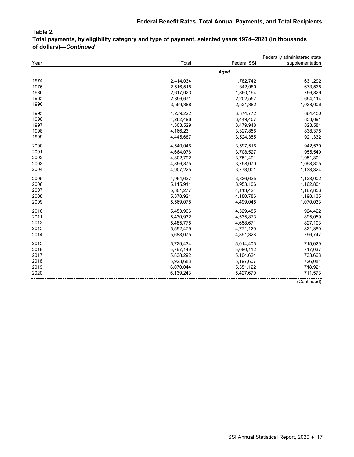**Total payments, by eligibility category and type of payment, selected years 1974–2020 (in thousands of dollars)—***Continued*

|      |           |                    | Federally administered state |
|------|-----------|--------------------|------------------------------|
| Year | Total     | <b>Federal SSI</b> | supplementation              |
|      |           | Aged               |                              |
| 1974 | 2,414,034 | 1,782,742          | 631,292                      |
| 1975 | 2,516,515 | 1,842,980          | 673,535                      |
| 1980 | 2,617,023 | 1,860,194          | 756,829                      |
| 1985 | 2,896,671 | 2,202,557          | 694,114                      |
| 1990 | 3,559,388 | 2,521,382          | 1,038,006                    |
| 1995 | 4,239,222 | 3,374,772          | 864,450                      |
| 1996 | 4,282,498 | 3,449,407          | 833,091                      |
| 1997 | 4,303,529 | 3,479,948          | 823,581                      |
| 1998 | 4,166,231 | 3,327,856          | 838,375                      |
| 1999 | 4,445,687 | 3,524,355          | 921,332                      |
| 2000 | 4,540,046 | 3,597,516          | 942,530                      |
| 2001 | 4,664,076 | 3,708,527          | 955,549                      |
| 2002 | 4,802,792 | 3,751,491          | 1,051,301                    |
| 2003 | 4,856,875 | 3,758,070          | 1,098,805                    |
| 2004 | 4,907,225 | 3,773,901          | 1,133,324                    |
| 2005 | 4,964,627 | 3,836,625          | 1,128,002                    |
| 2006 | 5,115,911 | 3,953,106          | 1,162,804                    |
| 2007 | 5,301,277 | 4,113,424          | 1,187,853                    |
| 2008 | 5,378,921 | 4,180,786          | 1,198,135                    |
| 2009 | 5,569,078 | 4,499,045          | 1,070,033                    |
| 2010 | 5,453,906 | 4,529,485          | 924,422                      |
| 2011 | 5,430,932 | 4,535,873          | 895,059                      |
| 2012 | 5,485,775 | 4,658,671          | 827,103                      |
| 2013 | 5,592,479 | 4,771,120          | 821,360                      |
| 2014 | 5,688,075 | 4,891,328          | 796,747                      |
| 2015 | 5,729,434 | 5,014,405          | 715,029                      |
| 2016 | 5,797,149 | 5,080,112          | 717,037                      |
| 2017 | 5,838,292 | 5,104,624          | 733,668                      |
| 2018 | 5,923,688 | 5,197,607          | 726,081                      |
| 2019 | 6,070,044 | 5,351,122          | 718,921                      |
| 2020 | 6,139,243 | 5,427,670          | 711,573                      |
|      |           |                    | (Continued)                  |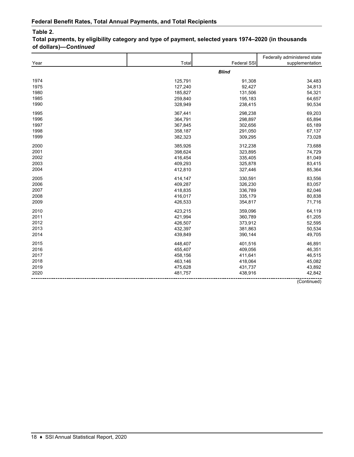**Total payments, by eligibility category and type of payment, selected years 1974–2020 (in thousands of dollars)—***Continued*

|      |         |              | Federally administered state |
|------|---------|--------------|------------------------------|
| Year | Total   | Federal SSI  | supplementation              |
|      |         | <b>Blind</b> |                              |
| 1974 | 125,791 | 91,308       | 34,483                       |
| 1975 | 127,240 | 92,427       | 34,813                       |
| 1980 | 185,827 | 131,506      | 54,321                       |
| 1985 | 259,840 | 195,183      | 64,657                       |
| 1990 | 328,949 | 238,415      | 90,534                       |
| 1995 | 367,441 | 298,238      | 69,203                       |
| 1996 | 364,791 | 298,897      | 65,894                       |
| 1997 | 367,845 | 302,656      | 65,189                       |
| 1998 | 358,187 | 291,050      | 67,137                       |
| 1999 | 382,323 | 309,295      | 73,028                       |
| 2000 | 385,926 | 312,238      | 73,688                       |
| 2001 | 398,624 | 323,895      | 74,729                       |
| 2002 | 416,454 | 335,405      | 81,049                       |
| 2003 | 409,293 | 325,878      | 83,415                       |
| 2004 | 412,810 | 327,446      | 85,364                       |
| 2005 | 414,147 | 330,591      | 83,556                       |
| 2006 | 409,287 | 326,230      | 83,057                       |
| 2007 | 418,835 | 336,789      | 82,046                       |
| 2008 | 416,017 | 335,179      | 80,838                       |
| 2009 | 426,533 | 354,817      | 71,716                       |
| 2010 | 423,215 | 359,096      | 64,119                       |
| 2011 | 421,994 | 360,789      | 61,205                       |
| 2012 | 426,507 | 373,912      | 52,595                       |
| 2013 | 432,397 | 381,863      | 50,534                       |
| 2014 | 439,849 | 390,144      | 49,705                       |
| 2015 | 448,407 | 401,516      | 46,891                       |
| 2016 | 455,407 | 409,056      | 46,351                       |
| 2017 | 458,156 | 411,641      | 46,515                       |
| 2018 | 463,146 | 418,064      | 45,082                       |
| 2019 | 475,628 | 431,737      | 43,892                       |
| 2020 | 481,757 | 438,916      | 42,842                       |
|      |         |              | (Continued)                  |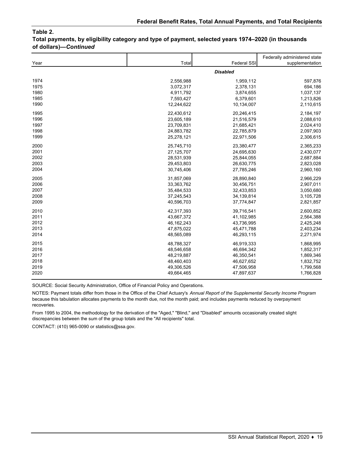**Total payments, by eligibility category and type of payment, selected years 1974–2020 (in thousands of dollars)—***Continued*

|      |                 |             | Federally administered state |  |
|------|-----------------|-------------|------------------------------|--|
| Year | Total           | Federal SSI | supplementation              |  |
|      | <b>Disabled</b> |             |                              |  |
| 1974 | 2,556,988       | 1,959,112   | 597,876                      |  |
| 1975 | 3,072,317       | 2,378,131   | 694,186                      |  |
| 1980 | 4,911,792       | 3,874,655   | 1,037,137                    |  |
| 1985 | 7,593,427       | 6,379,601   | 1,213,826                    |  |
| 1990 | 12,244,622      | 10,134,007  | 2,110,615                    |  |
| 1995 | 22,430,612      | 20,246,415  | 2,184,197                    |  |
| 1996 | 23,605,189      | 21,516,579  | 2,088,610                    |  |
| 1997 | 23,709,831      | 21,685,421  | 2,024,410                    |  |
| 1998 | 24,883,782      | 22,785,879  | 2,097,903                    |  |
| 1999 | 25,278,121      | 22,971,506  | 2,306,615                    |  |
| 2000 | 25,745,710      | 23,380,477  | 2,365,233                    |  |
| 2001 | 27, 125, 707    | 24,695,630  | 2,430,077                    |  |
| 2002 | 28,531,939      | 25,844,055  | 2,687,884                    |  |
| 2003 | 29,453,803      | 26,630,775  | 2,823,028                    |  |
| 2004 | 30,745,406      | 27,785,246  | 2,960,160                    |  |
| 2005 | 31,857,069      | 28,890,840  | 2,966,229                    |  |
| 2006 | 33,363,762      | 30,456,751  | 2,907,011                    |  |
| 2007 | 35,484,533      | 32,433,853  | 3,050,680                    |  |
| 2008 | 37,245,543      | 34,139,814  | 3,105,728                    |  |
| 2009 | 40,596,703      | 37,774,847  | 2,821,857                    |  |
| 2010 | 42,317,393      | 39,716,541  | 2,600,852                    |  |
| 2011 | 43,667,372      | 41,102,985  | 2,564,388                    |  |
| 2012 | 46, 162, 243    | 43,736,995  | 2,425,248                    |  |
| 2013 | 47,875,022      | 45,471,788  | 2,403,234                    |  |
| 2014 | 48,565,089      | 46,293,115  | 2,271,974                    |  |
| 2015 | 48,788,327      | 46,919,333  | 1,868,995                    |  |
| 2016 | 48,546,658      | 46,694,342  | 1,852,317                    |  |
| 2017 | 48,219,887      | 46,350,541  | 1,869,346                    |  |
| 2018 | 48,460,403      | 46,627,652  | 1,832,752                    |  |
| 2019 | 49,306,526      | 47,506,958  | 1,799,568                    |  |
| 2020 | 49,664,465      | 47,897,637  | 1,766,828                    |  |

SOURCE: Social Security Administration, Office of Financial Policy and Operations.

NOTES: Payment totals differ from those in the Office of the Chief Actuary's *Annual Report of the Supplemental Security Income Program*  because this tabulation allocates payments to the month due, not the month paid; and includes payments reduced by overpayment recoveries.

From 1995 to 2004, the methodology for the derivation of the "Aged," "Blind," and "Disabled" amounts occasionally created slight discrepancies between the sum of the group totals and the "All recipients" total.

CONTACT: (410) 965-0090 or statistics@ssa.gov.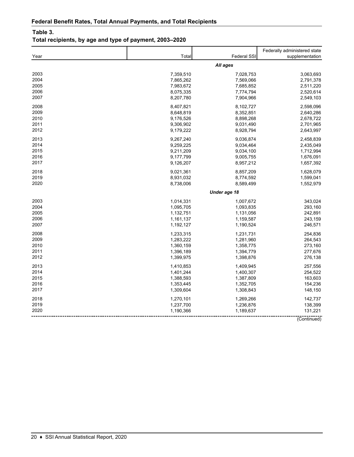## **Table 3.**

# **Total recipients, by age and type of payment, 2003–2020**

| Year | Total     | Federal SSI  | Federally administered state<br>supplementation |
|------|-----------|--------------|-------------------------------------------------|
|      |           |              |                                                 |
|      |           | All ages     |                                                 |
| 2003 | 7,359,510 | 7,028,753    | 3,063,693                                       |
| 2004 | 7,865,262 | 7,569,066    | 2,791,378                                       |
| 2005 | 7,983,672 | 7,685,852    | 2,511,220                                       |
| 2006 | 8,075,335 | 7,774,794    | 2,520,614                                       |
| 2007 | 8,207,780 | 7,904,966    | 2,549,103                                       |
| 2008 | 8,407,821 | 8,102,727    | 2,598,096                                       |
| 2009 | 8,648,819 | 8,352,851    | 2,640,286                                       |
| 2010 | 9,176,526 | 8,898,268    | 2,678,722                                       |
| 2011 | 9,306,902 | 9,031,490    | 2,701,965                                       |
| 2012 | 9,179,222 | 8,928,794    | 2,643,997                                       |
| 2013 | 9,267,240 | 9,036,874    | 2,458,839                                       |
| 2014 | 9,259,225 | 9,034,464    | 2,435,049                                       |
| 2015 | 9,211,209 | 9,034,100    | 1,712,994                                       |
| 2016 | 9,177,799 | 9,005,755    | 1,676,091                                       |
| 2017 | 9,126,207 | 8,957,212    | 1,657,392                                       |
| 2018 | 9,021,361 | 8,857,209    | 1,628,079                                       |
| 2019 | 8,931,032 | 8,774,592    | 1,599,041                                       |
| 2020 | 8,738,006 | 8,589,499    | 1,552,979                                       |
|      |           | Under age 18 |                                                 |
| 2003 | 1,014,331 | 1,007,672    | 343,024                                         |
| 2004 | 1,095,705 | 1,093,835    | 293,160                                         |
| 2005 | 1,132,751 | 1,131,056    | 242,891                                         |
| 2006 | 1,161,137 | 1,159,587    | 243,159                                         |
| 2007 | 1,192,127 | 1,190,524    | 246,571                                         |
| 2008 | 1,233,315 | 1,231,731    | 254,836                                         |
| 2009 | 1,283,222 | 1,281,960    | 264,543                                         |
| 2010 | 1,360,159 | 1,358,775    | 273,160                                         |
| 2011 | 1,396,189 | 1,394,779    | 277,676                                         |
| 2012 | 1,399,975 | 1,398,876    | 276,138                                         |
| 2013 | 1,410,853 | 1,409,945    | 257,556                                         |
| 2014 | 1,401,244 | 1,400,307    | 254,522                                         |
| 2015 | 1,388,593 | 1,387,809    | 163,603                                         |
| 2016 | 1,353,445 | 1,352,705    | 154,236                                         |
| 2017 | 1,309,604 | 1,308,843    | 148,150                                         |
| 2018 | 1,270,101 | 1,269,266    | 142,737                                         |
| 2019 | 1,237,700 | 1,236,876    | 138,399                                         |
| 2020 | 1,190,366 | 1,189,637    | 131,221                                         |
|      |           |              | (Continued)                                     |